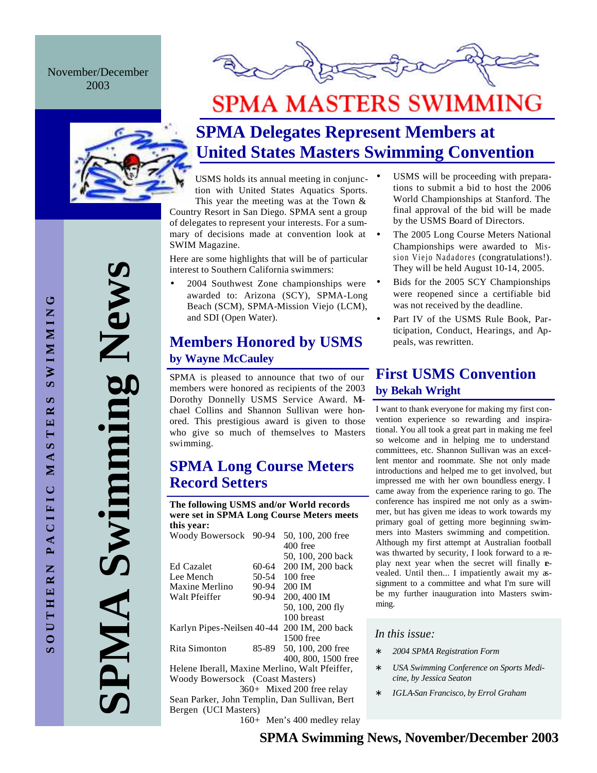November/December 2003



# **SPMA MASTERS SWIMMING**



## **SPMA Delegates Represent Members at United States Masters Swimming Convention**

USMS holds its annual meeting in conjunction with United States Aquatics Sports.

This year the meeting was at the Town & Country Resort in San Diego. SPMA sent a group of delegates to represent your interests. For a summary of decisions made at convention look at SWIM Magazine.

Here are some highlights that will be of particular interest to Southern California swimmers:

• 2004 Southwest Zone championships were awarded to: Arizona (SCY), SPMA-Long Beach (SCM), SPMA-Mission Viejo (LCM), and SDI (Open Water).

## **Members Honored by USMS by Wayne McCauley**

SPMA is pleased to announce that two of our members were honored as recipients of the 2003 Dorothy Donnelly USMS Service Award. Mchael Collins and Shannon Sullivan were honored. This prestigious award is given to those who give so much of themselves to Masters swimming.

### **SPMA Long Course Meters Record Setters**

**The following USMS and/or World records were set in SPMA Long Course Meters meets this year:**

| Woody Bowersock 90-94                                                                                                                                                                                                                                                                                                                        |           | 50, 100, 200 free   |
|----------------------------------------------------------------------------------------------------------------------------------------------------------------------------------------------------------------------------------------------------------------------------------------------------------------------------------------------|-----------|---------------------|
|                                                                                                                                                                                                                                                                                                                                              |           | 400 free            |
|                                                                                                                                                                                                                                                                                                                                              |           | 50, 100, 200 back   |
| <b>Ed Cazalet</b>                                                                                                                                                                                                                                                                                                                            | 60-64     | 200 IM, 200 back    |
| Lee Mench                                                                                                                                                                                                                                                                                                                                    | $50 - 54$ | 100 free            |
| Maxine Merlino                                                                                                                                                                                                                                                                                                                               | $90 - 94$ | 200 IM              |
| Walt Pfeiffer                                                                                                                                                                                                                                                                                                                                | $90 - 94$ | 200, 400 IM         |
|                                                                                                                                                                                                                                                                                                                                              |           | 50, 100, 200 fly    |
|                                                                                                                                                                                                                                                                                                                                              |           | 100 breast          |
| Karlyn Pipes-Neilsen 40-44 200 IM, 200 back                                                                                                                                                                                                                                                                                                  |           |                     |
|                                                                                                                                                                                                                                                                                                                                              |           | 1500 free           |
| Rita Simonton                                                                                                                                                                                                                                                                                                                                | 85-89     | 50, 100, 200 free   |
|                                                                                                                                                                                                                                                                                                                                              |           | 400, 800, 1500 free |
| $H_1, 1, \ldots, H_{n-1}, 1, M_{n-1}, \ldots, M_{n-1}, 1, \ldots, M_{n-1}, M_{n-1}, M_{n-1}, M_{n-1}, M_{n-1}, M_{n-1}, M_{n-1}, M_{n-1}, M_{n-1}, M_{n-1}, M_{n-1}, M_{n-1}, M_{n-1}, M_{n-1}, M_{n-1}, M_{n-1}, M_{n-1}, M_{n-1}, M_{n-1}, M_{n-1}, M_{n-1}, M_{n-1}, M_{n-1}, M_{n-1}, M_{n-1}, M_{n-1}, M_{n-1}, M_{n-1}, M_{n-1}, M_{n$ |           |                     |

Helene Iberall, Maxine Merlino, Walt Pfeiffer, Woody Bowersock (Coast Masters)

 360+ Mixed 200 free relay Sean Parker, John Templin, Dan Sullivan, Bert Bergen (UCI Masters)

160+ Men's 400 medley relay

- USMS will be proceeding with preparations to submit a bid to host the 2006 World Championships at Stanford. The final approval of the bid will be made by the USMS Board of Directors.
- The 2005 Long Course Meters National Championships were awarded to Mission Viejo Nadadores (congratulations!). They will be held August 10-14, 2005.
	- Bids for the 2005 SCY Championships were reopened since a certifiable bid was not received by the deadline.
	- Part IV of the USMS Rule Book, Participation, Conduct, Hearings, and Appeals, was rewritten.

## **First USMS Convention by Bekah Wright**

I want to thank everyone for making my first convention experience so rewarding and inspirational. You all took a great part in making me feel so welcome and in helping me to understand committees, etc. Shannon Sullivan was an excellent mentor and roommate. She not only made introductions and helped me to get involved, but impressed me with her own boundless energy. I came away from the experience raring to go. The conference has inspired me not only as a swimmer, but has given me ideas to work towards my primary goal of getting more beginning swimmers into Masters swimming and competition. Although my first attempt at Australian football was thwarted by security, I look forward to a replay next year when the secret will finally **e**vealed. Until then... I impatiently await my assignment to a committee and what I'm sure will be my further inauguration into Masters swimming.

#### *In this issue:*

- ∗ *2004 SPMA Registration Form*
- ∗ *USA Swimming Conference on Sports Medicine, by Jessica Seaton*
- ∗ *IGLA-San Francisco, by Errol Graham*

**SPMA Swimming News** Swimming New AIMP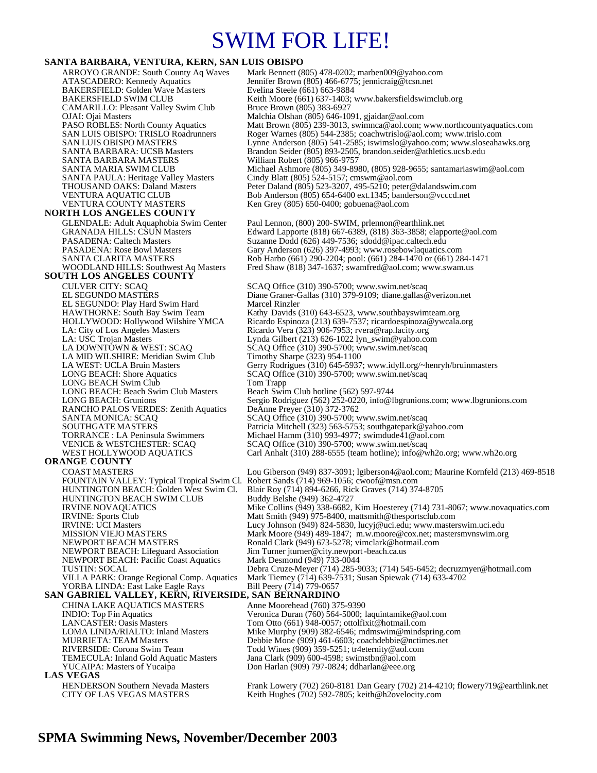# SWIM FOR LIFE!

#### **SANTA BARBARA, VENTURA, KERN, SAN LUIS OBISPO**

ARROYO GRANDE: South County Aq Waves Mark Bennett (805) 478-0202; marben009@yahoo.com<br>ATASCADERO: Kennedy Aquatics Jennifer Brown (805) 466-6775; jennicraig@tcsn.net Jennifer Brown (805) 466-6775; jennicraig@tcsn.net<br>Evelina Steele (661) 663-9884 BAKERSFIELD: Golden Wave Masters<br>BAKERSFIELD SWIM CLUB Keith Moore (661) 637-1403; www.bakersfieldswimclub.org<br>Bruce Brown (805) 383-6927 CAMARILLO: Pleasant Valley Swim Club<br>OJAI: Ojai Masters OJAI: Ojai Masters Malchia Olshan (805) 646-1091, gjaidar@aol.com PASO ROBLES: North County Aquatics Matt Brown (805) 239-3013, swimnca@aol.com; www.northcountyaquatics.com<br>SAN LUIS OBISPO: TRISLO Roadrunners Roger Warnes (805) 544-2385; coachwtrislo@aol.com; www.trislo.com SAN LUIS OBISPO: TRISLO Roadrunners Roger Warnes (805) 544-2385; coachwtrislo@aol.com; www.trislo.com<br>SAN LUIS OBISPO MASTERS Lynne Anderson (805) 541-2585; iswimslo@yahoo.com; www.sloseaha SAN LUIS OBISPO MASTERS<br>
SANTA BARBARA: UCSB Masters Brandon Seider (805) 893-2505, brandon.seider@athletics.ucsb.edu<br>
Brandon Seider (805) 893-2505, brandon.seider@athletics.ucsb.edu Brandon Seider (805) 893-2505, brandon seider@athletics.ucsb.edu<br>William Robert (805) 966-9757 SANTA BARBARA MASTERS SANTA MARIA SWIM CLUB Michael Ashmore (805) 349-8980, (805) 928-9655; santamariaswim@aol.com<br>SANTA PAULA: Heritage Valley Masters Cindy Blatt (805) 524-5157; cmswm@aol.com SANTA PAULA: Heritage Valley Masters Cindy Blatt (805) 524-5157; cmswm@aol.com<br>THOUSAND OAKS: Daland Masters Peter Daland (805) 523-3207, 495-5210; peter © THOUSAND OAKS: Daland Masters Peter Daland (805) 523-3207, 495-5210; peter@dalandswim.com<br>Peter Daland (805) 523-3207, 495-5210; peter@dalandswim.com<br>Peter Daba Anderson (805) 654-6400 ext.1345; banderson@vcccd.net VENTURA AQUATIC CLUB Bob Anderson (805) 654-6400 ext.1345; banderson @vcccd.net<br>VENTURA COUNTY MASTERS Ken Grey (805) 650-0400; gobuena @aol.com Ken Grey (805) 650-0400; gobuena@aol.com **NORTH LOS ANGELES COUNTY**  GLENDALE: Adult Aquaphobia Swim Center Paul Lennon, (800) 200-SWIM, prlennon@earthlink.net<br>GRANADA HILLS: CSUN Masters Edward Lapporte (818) 667-6389, (818) 363-3858; elapp GRANADA HILLS: CSUN Masters Edward Lapporte (818) 667-6389, (818) 363-3858; elapporte@aol.com<br>PASADENA: Caltech Masters Suzanne Dodd (626) 449-7536; sdodd@ipac.caltech.edu PASADENA: Caltech Masters Suzanne Dodd (626) 449-7536; sdodd@ipac.caltech.edu<br>PASADENA: Rose Bowl Masters Gary Anderson (626) 397-4993; www.rosebowlaquatics. PASADENA: Rose Bowl Masters Gary Anderson (626) 397-4993; www.rosebowlaquatics.com<br>SANTA CLARITA MASTERS Rob Harbo (661) 290-2204; pool: (661) 284-1470 or (661) 28 SANTA CLARITA MASTERS Rob Harbo (661) 290-2204; pool: (661) 284-1470 or (661) 284-1471<br>WOODLAND HILLS: Southwest Aq Masters Fred Shaw (818) 347-1637; swamfred@aol.com; www.swam.us Fred Shaw (818) 347-1637; swamfred@aol.com; www.swam.us **SOUTH LOS ANGELES COUNTY**  CULVER CITY: SCAQ SCAQ Office (310) 390-5700; www.swim.net/scaq<br>EL SEGUNDO MASTERS Diane Graner-Gallas (310) 379-9109; diane.gallas @ Diane Graner-Gallas (310) 379-9109; diane.gallas@verizon.net<br>Marcel Rinzler EL SEGUNDO: Play Hard Swim Hard<br>HAWTHORNE: South Bay Swim Team HAWTHORNE: South Bay Swim Team Kathy Davids (310) 643-6523, www.southbayswimteam.org<br>HOLLYWOOD: Hollywood Wilshire YMCA Ricardo Espinoza (213) 639-7537; ricardoespinoza@ywcala. HOLLYWOOD: Hollywood Wilshire YMCA Ricardo Espinoza (213) 639-7537; ricardoespinoza@ywcala.org<br>
LA: City of Los Angeles Masters Ricardo Vera (323) 906-7953; rvera@rap.lacity.org<br>
LA: USC Trojan Masters Lynda Gilbert (213) Ricardo Vera (323) 906-7953; rvera@rap.lacity.org LA: USC Trojan Masters Lynda Gilbert (213) 626-1022 lyn\_swim@yahoo.com<br>
LA DOWNTOWN & WEST: SCAQ SCAQ Office (310) 390-5700; www.swim.net/scaq SCAQ Office (310) 390-5700; www.swim.net/scaq<br>Timothy Sharpe (323) 954-1100 LA MID WILSHIRE: Meridian Swim Club<br>LA WEST: UCLA Bruin Masters LA WEST: UCLA Bruin Masters Gerry Rodrigues (310) 645-5937; www.idyll.org/~henryh/bruinmasters LONG BEACH: Shore Aquatics SCAQ Office (310) 390-5700; www.swim.net/scaq SCAQ Office (310) 390-5700; www.swim.net/scaq LONG BEACH Swim Club Tom Trapp<br>
LONG BEACH: Beach Swim Club Masters Beach Swim Club hotline (562) 597-9744 LONG BEACH: Beach Swim Club Masters<br>LONG BEACH: Grunions Sergio Rodriguez (562) 252-0220, info@lbgrunions.com; www.lbgrunions.com<br>DeAnne Preyer (310) 372-3762 RANCHO PALOS VERDES: Zenith Aquatics SANTA MONICA: SCAQ SCAQ Office (310) 390-5700; www.swim.net/scaq SOUTHGATE MASTERS Patricia Mitchell (323) 563-5753; southgatepark@yahoo.com<br>
TORRANCE : LA Peninsula Swimmers Michael Hamm (310) 993-4977; swimdude41@aol.com TORRANCE : LA Peninsula Swimmers Michael Hamm (310) 993-4977; swimdude41@aol.com VENICE & WESTCHESTER: SCAQ SCAQ Office (310) 390-5700; www.swim.net/scaq<br>WEST HOLLYWOOD AQUATICS Carl Anhalt (310) 288-6555 (team hotline); info@w Carl Anhalt (310) 288-6555 (team hotline); info@wh2o.org; www.wh2o.org **ORANGE COUNTY**  COAST MASTERS Lou Giberson (949) 837-3091; lgiberson4@aol.com; Maurine Kornfeld (213) 469-8518<br>FOUNTAIN VALLEY: Typical Tropical Swim Cl. Robert Sands (714) 969-1056; cwoof@msn.com FOUNTAIN VALLEY: Typical Tropical Swim Cl.<br>HUNTINGTON BEACH: Golden West Swim Cl. Blair Roy (714) 894-6266, Rick Graves (714) 374-8705<br>Buddy Belshe (949) 362-4727 HUNTINGTON BEACH SWIM CLUB<br>IRVINE NOVAQUATICS IRVINE NOVAQUATICS Mike Collins (949) 338-6682, Kim Hoesterey (714) 731-8067; www.novaquatics.com<br>IRVINE: Sports Club Matt Smith (949) 975-8400, mattsmith@thesportsclub.com IRVINE: Sports Club Matt Smith (949) 975-8400, mattsmith@thesportsclub.com<br>
IRVINE: UCI Masters Lucy Johnson (949) 824-5830, lucyj@uci.edu; www.master IRVINE: UCI Masters Lucy Johnson (949) 824-5830, lucyj@uci.edu; www.masterswim.uci.edu<br>MISSION VIEJO MASTERS Mark Moore (949) 489-1847: m.w.moore@cox.net: mastersmynswim.or Mark Moore (949) 489-1847; m.w.moore@cox.net; mastersmvnswim.org NEWPORT BEACH MASTERS<br>NEWPORT BEACH: Lifeguard Association Jim Turner jturner@city.newport-beach.ca.us Jim Turner jturner@city.newport-beach.ca.us<br>Mark Desmond (949) 733-0044 NEWPORT BEACH: Pacific Coast Aquatics TUSTIN: SOCAL Debra Cruze-Meyer (714) 285-9033; (714) 545-6452; decruzmyer@hotmail.com Mark Tiemey (714) 639-7531; Susan Spiewak (714) 633-4702 VILLA PARK: Orange Regional Comp. Aquatics Mark Tiemey (714)  $\frac{\partial 39 - 7}{\partial 539 - 7}$  YORBA LINDA: East Lake Eagle Rays **SAN GABRIEL VALLEY, KERN, RIVERSIDE, SAN BERNARDINO**  CHINA LAKE AQUATICS MASTERS Anne Moorehead (760) 375-9390 INDIO: Top Fin Aquatics Veronica Duran (760) 564-5000; laquintamike@aol.com<br>
LANCASTER: Oasis Masters Tom Otto (661) 948-0057; ottolfixit@hotmail.com LANCASTER: Oasis Masters Tom Otto (661) 948-0057; ottolfixit@hotmail.com<br>COMA LINDA/RIALTO: Inland Masters Mike Murphy (909) 382-6546; mdmswim@minds Mike Murphy (909) 382-6546; mdmswim@mindspring.com MURRIETA: TEAM Masters Debbie Mone (909) 461-6603; coachdebbie@nctimes.net<br>RIVERSIDE: Corona Swim Team Todd Wines (909) 359-5251; tr4eternity@aol.com RIVERSIDE: Corona Swim Team Todd Wines (909) 359-5251; tr4eternity@aol.com<br>TEMECULA: Inland Gold Aquatic Masters Jana Clark (909) 600-4598; swimstbn@aol.com TEMECULA: Inland Gold Aquatic Masters Jana Clark (909) 600-4598; swimstbn@aol.com<br>YUCAIPA: Masters of Yucaipa Don Harlan (909) 797-0824; ddharlan@eee.org Don Harlan (909) 797-0824; ddharlan@eee.org **LAS VEGAS**  HENDERSON Southern Nevada Masters Frank Lowery (702) 260-8181 Dan Geary (702) 214-4210; flowery719@earthlink.net CITY OF LAS VEGAS MASTERS Keith Hughes (702) 592-7805; keith@h2ovelocity.com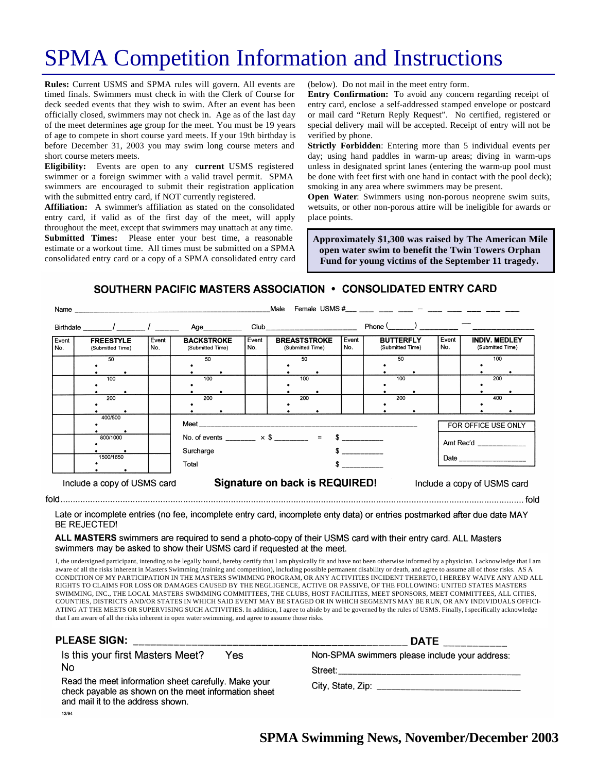# SPMA Competition Information and Instructions

**Rules:** Current USMS and SPMA rules will govern. All events are timed finals. Swimmers must check in with the Clerk of Course for deck seeded events that they wish to swim. After an event has been officially closed, swimmers may not check in. Age as of the last day of the meet determines age group for the meet. You must be 19 years of age to compete in short course yard meets. If your 19th birthday is before December 31, 2003 you may swim long course meters and short course meters meets.

**Eligibility:** Events are open to any **current** USMS registered swimmer or a foreign swimmer with a valid travel permit. SPMA swimmers are encouraged to submit their registration application with the submitted entry card, if NOT currently registered.

**Affiliation:** A swimmer's affiliation as stated on the consolidated entry card, if valid as of the first day of the meet, will apply throughout the meet, except that swimmers may unattach at any time. **Submitted Times:** Please enter your best time, a reasonable estimate or a workout time. All times must be submitted on a SPMA consolidated entry card or a copy of a SPMA consolidated entry card (below). Do not mail in the meet entry form.

**Entry Confirmation:** To avoid any concern regarding receipt of entry card, enclose a self-addressed stamped envelope or postcard or mail card "Return Reply Request". No certified, registered or special delivery mail will be accepted. Receipt of entry will not be verified by phone.

**Strictly Forbidden**: Entering more than 5 individual events per day; using hand paddles in warm-up areas; diving in warm-ups unless in designated sprint lanes (entering the warm-up pool must be done with feet first with one hand in contact with the pool deck); smoking in any area where swimmers may be present.

**Open Water**: Swimmers using non-porous neoprene swim suits, wetsuits, or other non-porous attire will be ineligible for awards or place points.

**Approximately \$1,300 was raised by The American Mile open water swim to benefit the Twin Towers Orphan Fund for young victims of the September 11 tragedy.**

#### SOUTHERN PACIFIC MASTERS ASSOCIATION . CONSOLIDATED ENTRY CARD

|              | Name and the contract of the contract of the contract of the contract of the contract of the contract of the contract of the contract of the contract of the contract of the contract of the contract of the contract of the c |              |                                                          |              | Male                                                                                                                                                                                                                           |              | Female USMS #___ ___ ___ ___ _ ___ - ___ ___ ____ ____ |              |                                          |
|--------------|--------------------------------------------------------------------------------------------------------------------------------------------------------------------------------------------------------------------------------|--------------|----------------------------------------------------------|--------------|--------------------------------------------------------------------------------------------------------------------------------------------------------------------------------------------------------------------------------|--------------|--------------------------------------------------------|--------------|------------------------------------------|
|              |                                                                                                                                                                                                                                |              | Age                                                      |              | Club and the contract of the contract of the contract of the contract of the contract of the contract of the contract of the contract of the contract of the contract of the contract of the contract of the contract of the c |              | $Phone($ ) —                                           |              |                                          |
| Event<br>No. | <b>FREESTYLE</b><br>(Submitted Time)                                                                                                                                                                                           | Event<br>No. | <b>BACKSTROKE</b><br>(Submitted Time)                    | Event<br>No. | <b>BREASTSTROKE</b><br>(Submitted Time)                                                                                                                                                                                        | Event<br>No. | <b>BUTTERFLY</b><br>(Submitted Time)                   | Event<br>No. | <b>INDIV. MEDLEY</b><br>(Submitted Time) |
|              | 50                                                                                                                                                                                                                             |              | 50                                                       |              | 50                                                                                                                                                                                                                             |              | 50                                                     |              | 100                                      |
|              | 100                                                                                                                                                                                                                            |              | 100                                                      |              | 100                                                                                                                                                                                                                            |              | 100                                                    |              | 200                                      |
|              | 200                                                                                                                                                                                                                            |              | 200                                                      |              | 200                                                                                                                                                                                                                            |              | 200                                                    |              | 400                                      |
|              | 400/500                                                                                                                                                                                                                        |              | No. of events ________ $\times$ \$ _______ = \$ ________ |              |                                                                                                                                                                                                                                |              | FOR OFFICE USE ONLY                                    |              |                                          |
|              | 800/1000                                                                                                                                                                                                                       |              |                                                          |              |                                                                                                                                                                                                                                |              |                                                        | Amt Rec'd    |                                          |
|              | 1500/1650                                                                                                                                                                                                                      |              | Surcharge<br>Total<br>$\sim$ $\sim$                      |              |                                                                                                                                                                                                                                |              |                                                        |              |                                          |
|              | Include a copy of USMS card                                                                                                                                                                                                    |              |                                                          |              | Signature on back is REQUIRED!                                                                                                                                                                                                 |              |                                                        |              | Include a copy of USMS card              |

Late or incomplete entries (no fee, incomplete entry card, incomplete enty data) or entries postmarked after due date MAY **BE REJECTED!** 

#### ALL MASTERS swimmers are required to send a photo-copy of their USMS card with their entry card. ALL Masters swimmers may be asked to show their USMS card if requested at the meet.

I, the undersigned participant, intending to be legally bound, hereby certify that I am physically fit and have not been otherwise informed by a physician. I acknowledge that I am aware of all the risks inherent in Masters Swimming (training and competition), including possible permanent disability or death, and agree to assume all of those risks. AS A CONDITION OF MY PARTICIPATION IN THE MASTERS SWIMMING PROGRAM, OR ANY ACTIVITIES INCIDENT THERETO, I HEREBY WAIVE ANY AND ALL RIGHTS TO CLAIMS FOR LOSS OR DAMAGES CAUSED BY THE NEGLIGENCE, ACTIVE OR PASSIVE, OF THE FOLLOWING: UNITED STATES MASTERS SWIMMING, INC., THE LOCAL MASTERS SWIMMING COMMITTEES, THE CLUBS, HOST FACILITIES, MEET SPONSORS, MEET COMMITTEES, ALL CITIES, COUNTIES, DISTRICTS AND/OR STATES IN WHICH SAID EVENT MAY BE STAGED OR IN WHICH SEGMENTS MAY BE RUN, OR ANY INDIVIDUALS OFFICI-ATING AT THE MEETS OR SUPERVISING SUCH ACTIVITIES. In addition, I agree to abide by and be governed by the rules of USMS. Finally, I specifically acknowledge that I am aware of all the risks inherent in open water swimming, and agree to assume those risks.

| <b>PLEASE SIGN:</b>                                                                                                                               | <b>DATE</b>                                    |  |  |  |
|---------------------------------------------------------------------------------------------------------------------------------------------------|------------------------------------------------|--|--|--|
| Is this your first Masters Meet?<br>Yes                                                                                                           | Non-SPMA swimmers please include your address: |  |  |  |
| No                                                                                                                                                |                                                |  |  |  |
| Read the meet information sheet carefully. Make your<br>check payable as shown on the meet information sheet<br>and mail it to the address shown. |                                                |  |  |  |
| 12/94                                                                                                                                             |                                                |  |  |  |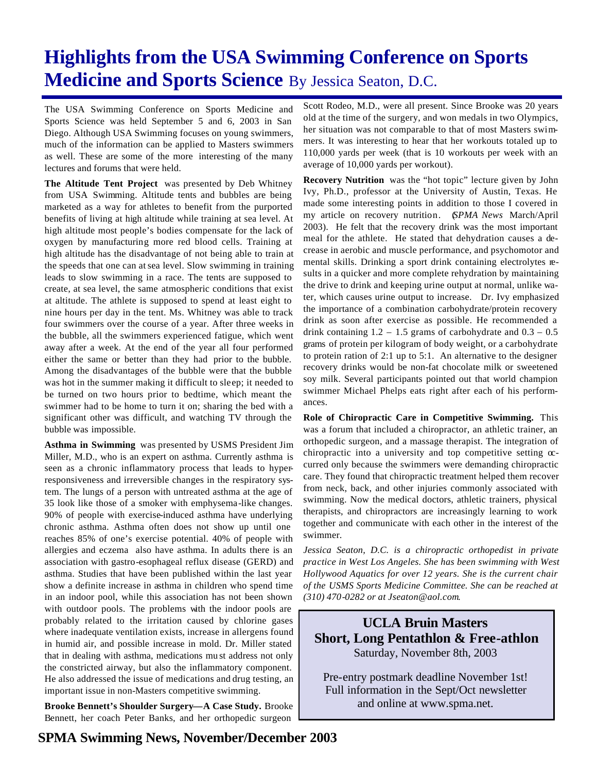# **Highlights from the USA Swimming Conference on Sports Medicine and Sports Science** By Jessica Seaton, D.C.

The USA Swimming Conference on Sports Medicine and Sports Science was held September 5 and 6, 2003 in San Diego. Although USA Swimming focuses on young swimmers, much of the information can be applied to Masters swimmers as well. These are some of the more interesting of the many lectures and forums that were held.

**The Altitude Tent Project** was presented by Deb Whitney from USA Swimming. Altitude tents and bubbles are being marketed as a way for athletes to benefit from the purported benefits of living at high altitude while training at sea level. At high altitude most people's bodies compensate for the lack of oxygen by manufacturing more red blood cells. Training at high altitude has the disadvantage of not being able to train at the speeds that one can at sea level. Slow swimming in training leads to slow swimming in a race. The tents are supposed to create, at sea level, the same atmospheric conditions that exist at altitude. The athlete is supposed to spend at least eight to nine hours per day in the tent. Ms. Whitney was able to track four swimmers over the course of a year. After three weeks in the bubble, all the swimmers experienced fatigue, which went away after a week. At the end of the year all four performed either the same or better than they had prior to the bubble. Among the disadvantages of the bubble were that the bubble was hot in the summer making it difficult to sleep; it needed to be turned on two hours prior to bedtime, which meant the swimmer had to be home to turn it on; sharing the bed with a significant other was difficult, and watching TV through the bubble was impossible.

**Asthma in Swimming** was presented by USMS President Jim Miller, M.D., who is an expert on asthma. Currently asthma is seen as a chronic inflammatory process that leads to hyperresponsiveness and irreversible changes in the respiratory system. The lungs of a person with untreated asthma at the age of 35 look like those of a smoker with emphysema-like changes. 90% of people with exercise-induced asthma have underlying chronic asthma. Asthma often does not show up until one reaches 85% of one's exercise potential. 40% of people with allergies and eczema also have asthma. In adults there is an association with gastro-esophageal reflux disease (GERD) and asthma. Studies that have been published within the last year show a definite increase in asthma in children who spend time in an indoor pool, while this association has not been shown with outdoor pools. The problems with the indoor pools are probably related to the irritation caused by chlorine gases where inadequate ventilation exists, increase in allergens found in humid air, and possible increase in mold. Dr. Miller stated that in dealing with asthma, medications mu st address not only the constricted airway, but also the inflammatory component. He also addressed the issue of medications and drug testing, an important issue in non-Masters competitive swimming.

**Brooke Bennett's Shoulder Surgery—A Case Study.** Brooke Bennett, her coach Peter Banks, and her orthopedic surgeon

Scott Rodeo, M.D., were all present. Since Brooke was 20 years old at the time of the surgery, and won medals in two Olympics, her situation was not comparable to that of most Masters swimmers. It was interesting to hear that her workouts totaled up to 110,000 yards per week (that is 10 workouts per week with an average of 10,000 yards per workout).

**Recovery Nutrition** was the "hot topic" lecture given by John Ivy, Ph.D., professor at the University of Austin, Texas. He made some interesting points in addition to those I covered in my article on recovery nutrition. (*SPMA News* March/April 2003). He felt that the recovery drink was the most important meal for the athlete. He stated that dehydration causes a decrease in aerobic and muscle performance, and psychomotor and mental skills. Drinking a sport drink containing electrolytes results in a quicker and more complete rehydration by maintaining the drive to drink and keeping urine output at normal, unlike water, which causes urine output to increase. Dr. Ivy emphasized the importance of a combination carbohydrate/protein recovery drink as soon after exercise as possible. He recommended a drink containing  $1.2 - 1.5$  grams of carbohydrate and  $0.3 - 0.5$ grams of protein per kilogram of body weight, or a carbohydrate to protein ration of 2:1 up to 5:1. An alternative to the designer recovery drinks would be non-fat chocolate milk or sweetened soy milk. Several participants pointed out that world champion swimmer Michael Phelps eats right after each of his performances.

**Role of Chiropractic Care in Competitive Swimming.** This was a forum that included a chiropractor, an athletic trainer, an orthopedic surgeon, and a massage therapist. The integration of chiropractic into a university and top competitive setting  $\alpha$ curred only because the swimmers were demanding chiropractic care. They found that chiropractic treatment helped them recover from neck, back, and other injuries commonly associated with swimming. Now the medical doctors, athletic trainers, physical therapists, and chiropractors are increasingly learning to work together and communicate with each other in the interest of the swimmer.

*Jessica Seaton, D.C. is a chiropractic orthopedist in private practice in West Los Angeles. She has been swimming with West Hollywood Aquatics for over 12 years. She is the current chair of the USMS Sports Medicine Committee. She can be reached at (310) 470-0282 or at Jseaton@aol.com.* 

**UCLA Bruin Masters Short, Long Pentathlon & Free-athlon** Saturday, November 8th, 2003

Pre-entry postmark deadline November 1st! Full information in the Sept/Oct newsletter and online at www.spma.net.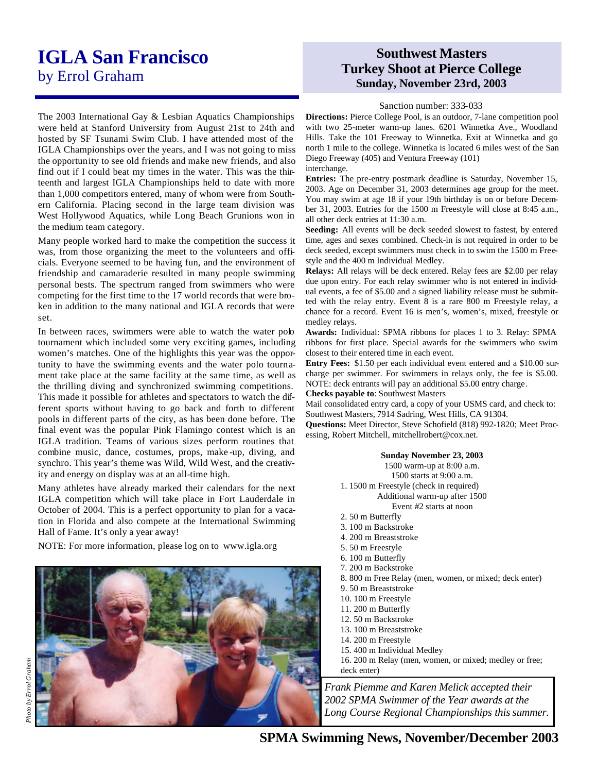## **IGLA San Francisco**  by Errol Graham

The 2003 International Gay & Lesbian Aquatics Championships were held at Stanford University from August 21st to 24th and hosted by SF Tsunami Swim Club. I have attended most of the IGLA Championships over the years, and I was not going to miss the opportunity to see old friends and make new friends, and also find out if I could beat my times in the water. This was the thirteenth and largest IGLA Championships held to date with more than 1,000 competitors entered, many of whom were from Southern California. Placing second in the large team division was West Hollywood Aquatics, while Long Beach Grunions won in the medium team category.

Many people worked hard to make the competition the success it was, from those organizing the meet to the volunteers and officials. Everyone seemed to be having fun, and the environment of friendship and camaraderie resulted in many people swimming personal bests. The spectrum ranged from swimmers who were competing for the first time to the 17 world records that were broken in addition to the many national and IGLA records that were set.

In between races, swimmers were able to watch the water pob tournament which included some very exciting games, including women's matches. One of the highlights this year was the opportunity to have the swimming events and the water polo tournament take place at the same facility at the same time, as well as the thrilling diving and synchronized swimming competitions. This made it possible for athletes and spectators to watch the different sports without having to go back and forth to different pools in different parts of the city, as has been done before. The final event was the popular Pink Flamingo contest which is an IGLA tradition. Teams of various sizes perform routines that combine music, dance, costumes, props, make -up, diving, and synchro. This year's theme was Wild, Wild West, and the creativity and energy on display was at an all-time high.

Many athletes have already marked their calendars for the next IGLA competition which will take place in Fort Lauderdale in October of 2004. This is a perfect opportunity to plan for a vacation in Florida and also compete at the International Swimming Hall of Fame. It's only a year away!

NOTE: For more information, please log on to www.igla.org



### **Southwest Masters Turkey Shoot at Pierce College Sunday, November 23rd, 2003**

#### Sanction number: 333-033

**Directions:** Pierce College Pool, is an outdoor, 7-lane competition pool with two 25-meter warm-up lanes. 6201 Winnetka Ave., Woodland Hills. Take the 101 Freeway to Winnetka. Exit at Winnetka and go north 1 mile to the college. Winnetka is located 6 miles west of the San Diego Freeway (405) and Ventura Freeway (101)

interchange.

**Entries:** The pre-entry postmark deadline is Saturday, November 15, 2003. Age on December 31, 2003 determines age group for the meet. You may swim at age 18 if your 19th birthday is on or before December 31, 2003. Entries for the 1500 m Freestyle will close at 8:45 a.m., all other deck entries at 11:30 a.m.

**Seeding:** All events will be deck seeded slowest to fastest, by entered time, ages and sexes combined. Check-in is not required in order to be deck seeded, except swimmers must check in to swim the 1500 m Freestyle and the 400 m Individual Medley.

**Relays:** All relays will be deck entered. Relay fees are \$2.00 per relay due upon entry. For each relay swimmer who is not entered in individual events, a fee of \$5.00 and a signed liability release must be submitted with the relay entry. Event 8 is a rare 800 m Freestyle relay, a chance for a record. Event 16 is men's, women's, mixed, freestyle or medley relays.

**Awards:** Individual: SPMA ribbons for places 1 to 3. Relay: SPMA ribbons for first place. Special awards for the swimmers who swim closest to their entered time in each event.

**Entry Fees:** \$1.50 per each individual event entered and a \$10.00 surcharge per swimmer. For swimmers in relays only, the fee is \$5.00. NOTE: deck entrants will pay an additional \$5.00 entry charge.

**Checks payable to**: Southwest Masters

Mail consolidated entry card, a copy of your USMS card, and check to: Southwest Masters, 7914 Sadring, West Hills, CA 91304.

**Questions:** Meet Director, Steve Schofield (818) 992-1820; Meet Processing, Robert Mitchell, mitchellrobert@cox.net.

#### **Sunday November 23, 2003**

1500 warm-up at 8:00 a.m.

1500 starts at 9:00 a.m.

1. 1500 m Freestyle (check in required) Additional warm-up after 1500

Event #2 starts at noon

- 2. 50 m Butterfly
- 3. 100 m Backstroke
- 4. 200 m Breaststroke
- 5. 50 m Freestyle
- 6. 100 m Butterfly
- 7. 200 m Backstroke
- 8. 800 m Free Relay (men, women, or mixed; deck enter)
- 9. 50 m Breaststroke
- 10. 100 m Freestyle
- 11. 200 m Butterfly
- 12. 50 m Backstroke
- 13. 100 m Breaststroke
- 14. 200 m Freestyle
- 15. 400 m Individual Medley
- 16. 200 m Relay (men, women, or mixed; medley or free; deck enter)

*Frank Piemme and Karen Melick accepted their 2002 SPMA Swimmer of the Year awards at the Long Course Regional Championships this summer.*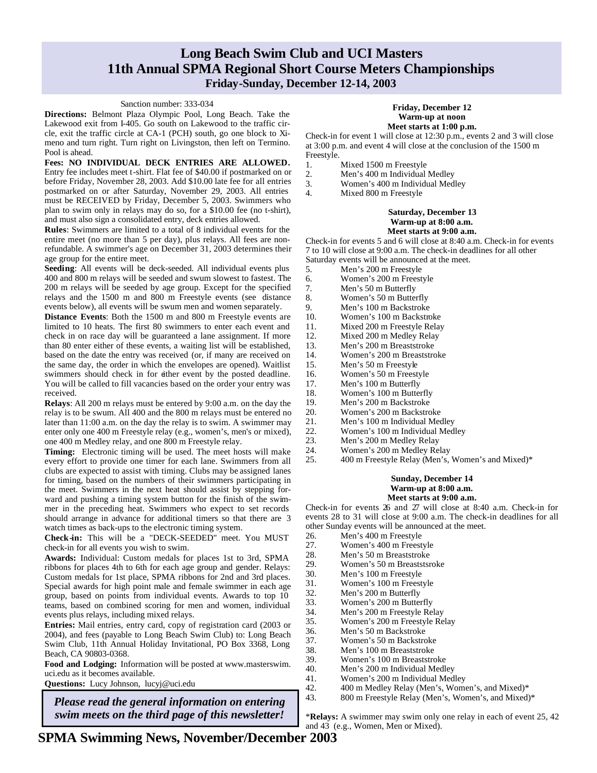### **Long Beach Swim Club and UCI Masters 11th Annual SPMA Regional Short Course Meters Championships Friday-Sunday, December 12-14, 2003**

#### Sanction number: 333-034

**Directions:** Belmont Plaza Olympic Pool, Long Beach. Take the Lakewood exit from I-405. Go south on Lakewood to the traffic circle, exit the traffic circle at CA-1 (PCH) south, go one block to Ximeno and turn right. Turn right on Livingston, then left on Termino. Pool is ahead.

**Fees: NO INDIVIDUAL DECK ENTRIES ARE ALLOWED.** Entry fee includes meet t-shirt. Flat fee of \$40.00 if postmarked on or before Friday, November 28, 2003. Add \$10.00 late fee for all entries postmarked on or after Saturday, November 29, 2003. All entries must be RECEIVED by Friday, December 5, 2003. Swimmers who plan to swim only in relays may do so, for a \$10.00 fee (no t-shirt), and must also sign a consolidated entry, deck entries allowed.

**Rules**: Swimmers are limited to a total of 8 individual events for the entire meet (no more than 5 per day), plus relays. All fees are nonrefundable. A swimmer's age on December 31, 2003 determines their age group for the entire meet.

**Seeding**: All events will be deck-seeded. All individual events plus 400 and 800 m relays will be seeded and swum slowest to fastest. The 200 m relays will be seeded by age group. Except for the specified relays and the 1500 m and 800 m Freestyle events (see distance events below), all events will be swum men and women separately.

**Distance Events**: Both the 1500 m and 800 m Freestyle events are limited to 10 heats. The first 80 swimmers to enter each event and check in on race day will be guaranteed a lane assignment. If more than 80 enter either of these events, a waiting list will be established, based on the date the entry was received (or, if many are received on the same day, the order in which the envelopes are opened). Waitlist swimmers should check in for either event by the posted deadline. You will be called to fill vacancies based on the order your entry was received.

**Relays**: All 200 m relays must be entered by 9:00 a.m. on the day the relay is to be swum. All 400 and the 800 m relays must be entered no later than 11:00 a.m. on the day the relay is to swim. A swimmer may enter only one 400 m Freestyle relay (e.g., women's, men's or mixed), one 400 m Medley relay, and one 800 m Freestyle relay.

**Timing:** Electronic timing will be used. The meet hosts will make every effort to provide one timer for each lane. Swimmers from all clubs are expected to assist with timing. Clubs may be assigned lanes for timing, based on the numbers of their swimmers participating in the meet. Swimmers in the next heat should assist by stepping forward and pushing a timing system button for the finish of the swimmer in the preceding heat. Swimmers who expect to set records should arrange in advance for additional timers so that there are 3 watch times as back-ups to the electronic timing system.

**Check-in:** This will be a "DECK-SEEDED" meet. You MUST check-in for all events you wish to swim.

**Awards:** Individual: Custom medals for places 1st to 3rd, SPMA ribbons for places 4th to 6th for each age group and gender. Relays: Custom medals for 1st place, SPMA ribbons for 2nd and 3rd places. Special awards for high point male and female swimmer in each age group, based on points from individual events. Awards to top 10 teams, based on combined scoring for men and women, individual events plus relays, including mixed relays.

**Entries:** Mail entries, entry card, copy of registration card (2003 or 2004), and fees (payable to Long Beach Swim Club) to: Long Beach Swim Club, 11th Annual Holiday Invitational, PO Box 3368, Long Beach, CA 90803-0368.

**Food and Lodging:** Information will be posted at www.masterswim. uci.edu as it becomes available.

**Questions:** Lucy Johnson, lucyj@uci.edu

*Please read the general information on entering swim meets on the third page of this newsletter!*

#### **Friday, December 12 Warm-up at noon Meet starts at 1:00 p.m.**

Check-in for event 1 will close at 12:30 p.m., events 2 and 3 will close at 3:00 p.m. and event 4 will close at the conclusion of the 1500 m Freestyle.

- 1. Mixed 1500 m Freestyle
- 
- 2. Men's 400 m Individual Medley<br>3. Women's 400 m Individual Med 3. Women's 400 m Individual Medley
- 4. Mixed 800 m Freestyle

#### **Saturday, December 13 Warm-up at 8:00 a.m. Meet starts at 9:00 a.m.**

Check-in for events 5 and 6 will close at 8:40 a.m. Check-in for events 7 to 10 will close at 9:00 a.m. The check-in deadlines for all other Saturday events will be announced at the meet.

- 5. Men's 200 m Freestyle
- 
- 6. Women's 200 m Freestyle<br>7. Men's 50 m Butterfly Men's 50 m Butterfly
- 
- 8. Women's 50 m Butterfly<br>9. Men's 100 m Backstroke Men's 100 m Backstroke
- 10. Women's 100 m Backstroke
- 11. Mixed 200 m Freestyle Relay
- 12. Mixed 200 m Medley Relay
- 13. Men's 200 m Breaststroke
- 14. Women's 200 m Breaststroke<br>15. Men's 50 m Freestyle
- Men's 50 m Freestyle
- 16. Women's 50 m Freestyle
- 17. Men's 100 m Butterfly
- 18. Women's 100 m Butterfly<br>19. Men's 200 m Backstroke
- Men's 200 m Backstroke
- 20. Women's 200 m Backstroke<br>21. Men's 100 m Individual Me
- 21. Men's 100 m Individual Medley<br>22. Women's 100 m Individual Med
- 22. Women's 100 m Individual Medley<br>23. Men's 200 m Medley Relay
- Men's 200 m Medley Relay
- 24. Women's 200 m Medley Relay 25. 400 m Freestyle Relay (Men's, Women's and Mixed)\*

### **Sunday, December 14 Warm-up at 8:00 a.m.**

#### **Meet starts at 9:00 a.m.**

Check-in for events 26 and 27 will close at 8:40 a.m. Check-in for events 28 to 31 will close at 9:00 a.m. The check-in deadlines for all

other Sunday events will be announced at the meet. 26. Men's 400 m Freestyle<br>27. Women's 400 m Freest Women's 400 m Freestyle 28. Men's 50 m Breaststroke 29. Women's 50 m Breaststsroke 30. Men's 100 m Freestyle 31. Women's 100 m Freestyle 32. Men's 200 m Butterfly 33. Women's 200 m Butterfly<br>34. Men's 200 m Freestyle Re 34. Men's 200 m Freestyle Relay<br>35. Women's 200 m Freestyle Re 35. Women's 200 m Freestyle Relay 36. Men's 50 m Backstroke 37. Women's 50 m Backstroke 38. Men's 100 m Breaststroke 39. Women's 100 m Breaststroke 40. Men's 200 m Individual Medley<br>41. Women's 200 m Individual Med Women's 200 m Individual Medley 42. 400 m Medley Relay (Men's, Women's, and Mixed)\* 43. 800 m Freestyle Relay (Men's, Women's, and Mixed)\*

\***Relays:** A swimmer may swim only one relay in each of event 25, 42 and 43 (e.g., Women, Men or Mixed).

**SPMA Swimming News, November/December 2003**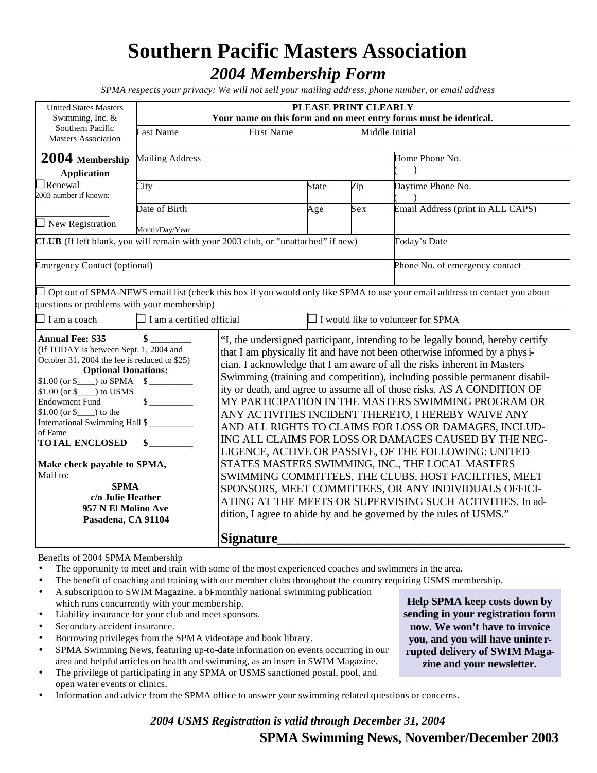## **Southern Pacific Masters Association** *2004 Membership Form*

*SPMA respects your privacy: We will not sell your mailing address, phone number, or email address*

| <b>United States Masters</b><br>Swimming, Inc. &                                                                                                                                                                                                                                                                                                                                                                                                                  | PLEASE PRINT CLEARLY<br>Your name on this form and on meet entry forms must be identical. |           |              |                                                                                                                                                                                                                                                                                                                                                                                                                                                                                                                                                                                                                                                                                                                                                                                                                                                                                                                                                                                                   |                                                                                                                            |  |  |
|-------------------------------------------------------------------------------------------------------------------------------------------------------------------------------------------------------------------------------------------------------------------------------------------------------------------------------------------------------------------------------------------------------------------------------------------------------------------|-------------------------------------------------------------------------------------------|-----------|--------------|---------------------------------------------------------------------------------------------------------------------------------------------------------------------------------------------------------------------------------------------------------------------------------------------------------------------------------------------------------------------------------------------------------------------------------------------------------------------------------------------------------------------------------------------------------------------------------------------------------------------------------------------------------------------------------------------------------------------------------------------------------------------------------------------------------------------------------------------------------------------------------------------------------------------------------------------------------------------------------------------------|----------------------------------------------------------------------------------------------------------------------------|--|--|
| Southern Pacific<br><b>Masters Association</b>                                                                                                                                                                                                                                                                                                                                                                                                                    | ast Name<br><b>First Name</b><br>Middle Initial                                           |           |              |                                                                                                                                                                                                                                                                                                                                                                                                                                                                                                                                                                                                                                                                                                                                                                                                                                                                                                                                                                                                   |                                                                                                                            |  |  |
| 2004 Membership<br><b>Application</b>                                                                                                                                                                                                                                                                                                                                                                                                                             | Mailing Address                                                                           |           |              |                                                                                                                                                                                                                                                                                                                                                                                                                                                                                                                                                                                                                                                                                                                                                                                                                                                                                                                                                                                                   | Home Phone No.<br>$\mathcal{E}$                                                                                            |  |  |
| $\Box$ Renewal<br>2003 number if known:                                                                                                                                                                                                                                                                                                                                                                                                                           | City                                                                                      |           | <b>State</b> | Zip                                                                                                                                                                                                                                                                                                                                                                                                                                                                                                                                                                                                                                                                                                                                                                                                                                                                                                                                                                                               | Daytime Phone No.                                                                                                          |  |  |
| $\Box$ New Registration                                                                                                                                                                                                                                                                                                                                                                                                                                           | Date of Birth<br>Month/Day/Year                                                           |           | Age          | Sex                                                                                                                                                                                                                                                                                                                                                                                                                                                                                                                                                                                                                                                                                                                                                                                                                                                                                                                                                                                               | Email Address (print in ALL CAPS)                                                                                          |  |  |
| CLUB (If left blank, you will remain with your 2003 club, or "unattached" if new)                                                                                                                                                                                                                                                                                                                                                                                 |                                                                                           |           |              |                                                                                                                                                                                                                                                                                                                                                                                                                                                                                                                                                                                                                                                                                                                                                                                                                                                                                                                                                                                                   | Today's Date                                                                                                               |  |  |
| <b>Emergency Contact (optional)</b>                                                                                                                                                                                                                                                                                                                                                                                                                               |                                                                                           |           |              |                                                                                                                                                                                                                                                                                                                                                                                                                                                                                                                                                                                                                                                                                                                                                                                                                                                                                                                                                                                                   | Phone No. of emergency contact                                                                                             |  |  |
| questions or problems with your membership)                                                                                                                                                                                                                                                                                                                                                                                                                       |                                                                                           |           |              |                                                                                                                                                                                                                                                                                                                                                                                                                                                                                                                                                                                                                                                                                                                                                                                                                                                                                                                                                                                                   | Opt out of SPMA-NEWS email list (check this box if you would only like SPMA to use your email address to contact you about |  |  |
| $\exists$ I am a coach                                                                                                                                                                                                                                                                                                                                                                                                                                            | $\Box$ I am a certified official                                                          |           |              |                                                                                                                                                                                                                                                                                                                                                                                                                                                                                                                                                                                                                                                                                                                                                                                                                                                                                                                                                                                                   | $\Box$ I would like to volunteer for SPMA                                                                                  |  |  |
| <b>Annual Fee: \$35</b><br>(If TODAY is between Sept. 1, 2004 and<br>October 31, 2004 the fee is reduced to \$25)<br><b>Optional Donations:</b><br>$$1.00 (or $)$ to SPMA $$$<br>$$1.00$ (or $$$ ) to USMS<br><b>Endowment Fund</b><br>$$1.00$ (or $$$ ) to the<br>International Swimming Hall \$<br>of Fame<br><b>TOTAL ENCLOSED</b><br>Make check payable to SPMA,<br>Mail to:<br><b>SPMA</b><br>c/o Julie Heather<br>957 N El Molino Ave<br>Pasadena, CA 91104 |                                                                                           |           |              | "I, the undersigned participant, intending to be legally bound, hereby certify<br>that I am physically fit and have not been otherwise informed by a physi-<br>cian. I acknowledge that I am aware of all the risks inherent in Masters<br>Swimming (training and competition), including possible permanent disabil-<br>ity or death, and agree to assume all of those risks. AS A CONDITION OF<br>MY PARTICIPATION IN THE MASTERS SWIMMING PROGRAM OR<br>ANY ACTIVITIES INCIDENT THERETO, I HEREBY WAIVE ANY<br>AND ALL RIGHTS TO CLAIMS FOR LOSS OR DAMAGES, INCLUD-<br>ING ALL CLAIMS FOR LOSS OR DAMAGES CAUSED BY THE NEG-<br>LIGENCE, ACTIVE OR PASSIVE, OF THE FOLLOWING: UNITED<br>STATES MASTERS SWIMMING, INC., THE LOCAL MASTERS<br>SWIMMING COMMITTEES, THE CLUBS, HOST FACILITIES, MEET<br>SPONSORS, MEET COMMITTEES, OR ANY INDIVIDUALS OFFICI-<br>ATING AT THE MEETS OR SUPERVISING SUCH ACTIVITIES. In ad-<br>dition, I agree to abide by and be governed by the rules of USMS." |                                                                                                                            |  |  |
|                                                                                                                                                                                                                                                                                                                                                                                                                                                                   |                                                                                           | Signature |              |                                                                                                                                                                                                                                                                                                                                                                                                                                                                                                                                                                                                                                                                                                                                                                                                                                                                                                                                                                                                   |                                                                                                                            |  |  |

Benefits of 2004 SPMA Membership

- The opportunity to meet and train with some of the most experienced coaches and swimmers in the area.
- The benefit of coaching and training with our member clubs throughout the country requiring USMS membership.
- A subscription to SWIM Magazine, a bi-monthly national swimming publication
- which runs concurrently with your membership. Liability insurance for your club and meet sponsors.
- Secondary accident insurance.
- Borrowing privileges from the SPMA videotape and book library.
- SPMA Swimming News, featuring up-to-date information on events occurring in our area and helpful articles on health and swimming, as an insert in SWIM Magazine.
- The privilege of participating in any SPMA or USMS sanctioned postal, pool, and open water events or clinics.
- Information and advice from the SPMA office to answer your swimming related questions or concerns.

**Help SPMA keep costs down by sending in your registration form now. We won't have to invoice you, and you will have uninte rrupted delivery of SWIM Magazine and your newsletter.**

**SPMA Swimming News, November/December 2003** *2004 USMS Registration is valid through December 31, 2004*